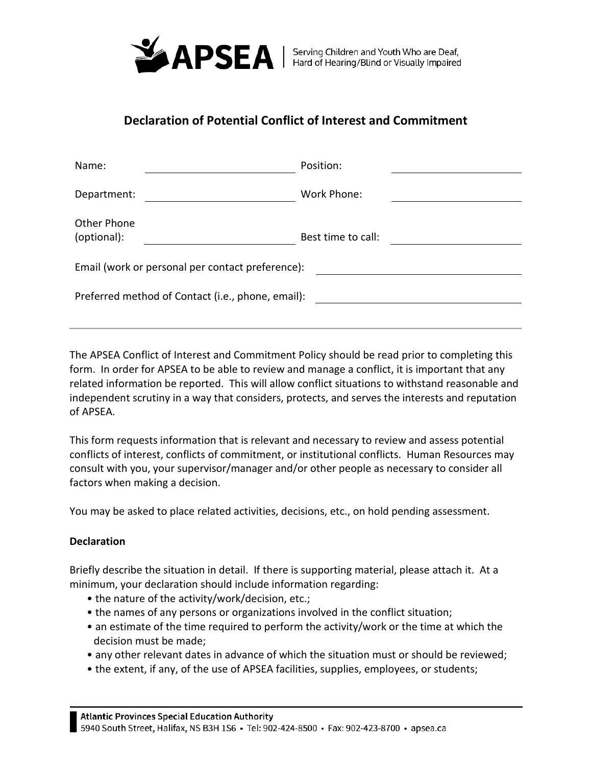

## **Declaration of Potential Conflict of Interest and Commitment**

| Name:                                             | Position:          |
|---------------------------------------------------|--------------------|
| Department:                                       | Work Phone:        |
| Other Phone<br>(optional):                        | Best time to call: |
| Email (work or personal per contact preference):  |                    |
| Preferred method of Contact (i.e., phone, email): |                    |

The APSEA Conflict of Interest and Commitment Policy should be read prior to completing this form. In order for APSEA to be able to review and manage a conflict, it is important that any related information be reported. This will allow conflict situations to withstand reasonable and independent scrutiny in a way that considers, protects, and serves the interests and reputation of APSEA.

This form requests information that is relevant and necessary to review and assess potential conflicts of interest, conflicts of commitment, or institutional conflicts. Human Resources may consult with you, your supervisor/manager and/or other people as necessary to consider all factors when making a decision.

You may be asked to place related activities, decisions, etc., on hold pending assessment.

## **Declaration**

Briefly describe the situation in detail. If there is supporting material, please attach it. At a minimum, your declaration should include information regarding:

- the nature of the activity/work/decision, etc.;
- the names of any persons or organizations involved in the conflict situation;
- an estimate of the time required to perform the activity/work or the time at which the decision must be made;
- any other relevant dates in advance of which the situation must or should be reviewed;
- the extent, if any, of the use of APSEA facilities, supplies, employees, or students;